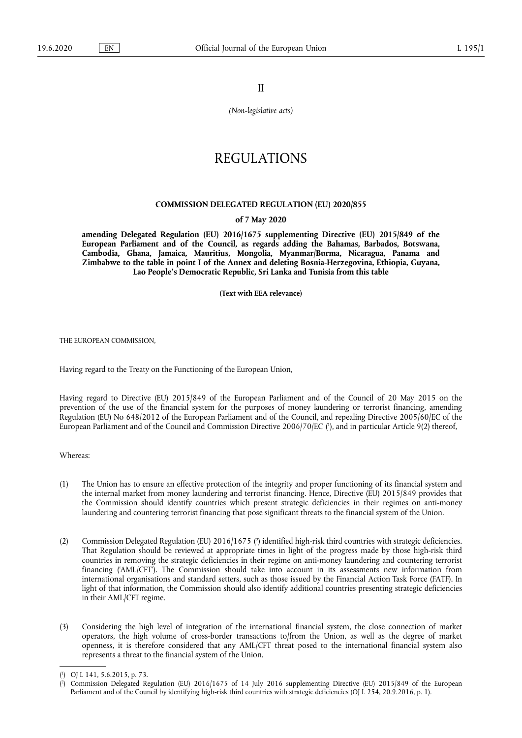II

*(Non-legislative acts)* 

# REGULATIONS

## **COMMISSION DELEGATED REGULATION (EU) 2020/855**

#### **of 7 May 2020**

**amending Delegated Regulation (EU) 2016/1675 supplementing Directive (EU) 2015/849 of the European Parliament and of the Council, as regards adding the Bahamas, Barbados, Botswana, Cambodia, Ghana, Jamaica, Mauritius, Mongolia, Myanmar/Burma, Nicaragua, Panama and Zimbabwe to the table in point I of the Annex and deleting Bosnia-Herzegovina, Ethiopia, Guyana, Lao People's Democratic Republic, Sri Lanka and Tunisia from this table** 

**(Text with EEA relevance)** 

THE EUROPEAN COMMISSION,

Having regard to the Treaty on the Functioning of the European Union,

<span id="page-0-2"></span>Having regard to Directive (EU) 2015/849 of the European Parliament and of the Council of 20 May 2015 on the prevention of the use of the financial system for the purposes of money laundering or terrorist financing, amending Regulation (EU) No 648/2012 of the European Parliament and of the Council, and repealing Directive 2005/60/EC of the European Parliament and of the Council and Commission Directive 2006/70/EC ( 1 [\),](#page-0-0) and in particular Article 9(2) thereof,

Whereas:

- (1) The Union has to ensure an effective protection of the integrity and proper functioning of its financial system and the internal market from money laundering and terrorist financing. Hence, Directive (EU) 2015/849 provides that the Commission should identify countries which present strategic deficiencies in their regimes on anti-money laundering and countering terrorist financing that pose significant threats to the financial system of the Union.
- <span id="page-0-3"></span>(2) Commission Delegated Regulation (EU) 2016/1675 [\(](#page-0-1) 2 ) identified high-risk third countries with strategic deficiencies. That Regulation should be reviewed at appropriate times in light of the progress made by those high-risk third countries in removing the strategic deficiencies in their regime on anti-money laundering and countering terrorist financing ('AML/CFT'). The Commission should take into account in its assessments new information from international organisations and standard setters, such as those issued by the Financial Action Task Force (FATF). In light of that information, the Commission should also identify additional countries presenting strategic deficiencies in their AML/CFT regime.
- (3) Considering the high level of integration of the international financial system, the close connection of market operators, the high volume of cross-border transactions to/from the Union, as well as the degree of market openness, it is therefore considered that any AML/CFT threat posed to the international financial system also represents a threat to the financial system of the Union.

<span id="page-0-0"></span>[<sup>\(</sup>](#page-0-2) 1 ) OJ L 141, 5.6.2015, p. 73.

<span id="page-0-1"></span>[<sup>\(</sup>](#page-0-3) 2 ) Commission Delegated Regulation (EU) 2016/1675 of 14 July 2016 supplementing Directive (EU) 2015/849 of the European Parliament and of the Council by identifying high-risk third countries with strategic deficiencies (OJ L 254, 20.9.2016, p. 1).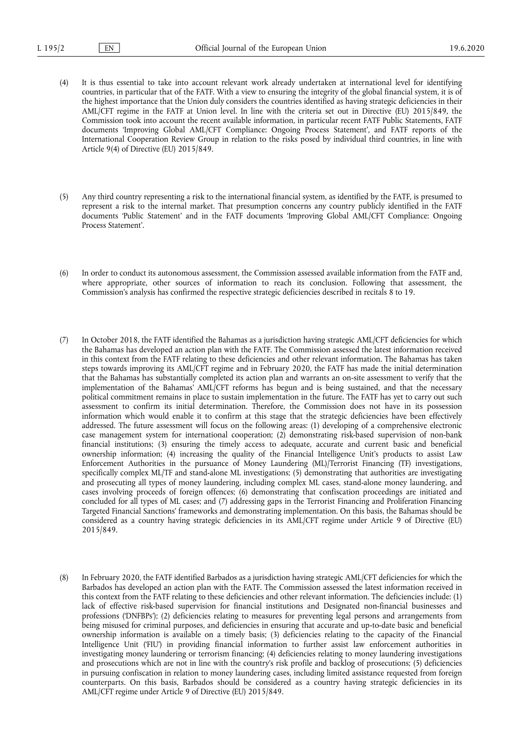- (4) It is thus essential to take into account relevant work already undertaken at international level for identifying countries, in particular that of the FATF. With a view to ensuring the integrity of the global financial system, it is of the highest importance that the Union duly considers the countries identified as having strategic deficiencies in their AML/CFT regime in the FATF at Union level. In line with the criteria set out in Directive (EU) 2015/849, the Commission took into account the recent available information, in particular recent FATF Public Statements, FATF documents 'Improving Global AML/CFT Compliance: Ongoing Process Statement', and FATF reports of the International Cooperation Review Group in relation to the risks posed by individual third countries, in line with Article 9(4) of Directive (EU) 2015/849.
- (5) Any third country representing a risk to the international financial system, as identified by the FATF, is presumed to represent a risk to the internal market. That presumption concerns any country publicly identified in the FATF documents 'Public Statement' and in the FATF documents 'Improving Global AML/CFT Compliance: Ongoing Process Statement'.
- (6) In order to conduct its autonomous assessment, the Commission assessed available information from the FATF and, where appropriate, other sources of information to reach its conclusion. Following that assessment, the Commission's analysis has confirmed the respective strategic deficiencies described in recitals 8 to 19.
- (7) In October 2018, the FATF identified the Bahamas as a jurisdiction having strategic AML/CFT deficiencies for which the Bahamas has developed an action plan with the FATF. The Commission assessed the latest information received in this context from the FATF relating to these deficiencies and other relevant information. The Bahamas has taken steps towards improving its AML/CFT regime and in February 2020, the FATF has made the initial determination that the Bahamas has substantially completed its action plan and warrants an on-site assessment to verify that the implementation of the Bahamas' AML/CFT reforms has begun and is being sustained, and that the necessary political commitment remains in place to sustain implementation in the future. The FATF has yet to carry out such assessment to confirm its initial determination. Therefore, the Commission does not have in its possession information which would enable it to confirm at this stage that the strategic deficiencies have been effectively addressed. The future assessment will focus on the following areas: (1) developing of a comprehensive electronic case management system for international cooperation; (2) demonstrating risk-based supervision of non-bank financial institutions; (3) ensuring the timely access to adequate, accurate and current basic and beneficial ownership information; (4) increasing the quality of the Financial Intelligence Unit's products to assist Law Enforcement Authorities in the pursuance of Money Laundering (ML)/Terrorist Financing (TF) investigations, specifically complex ML/TF and stand-alone ML investigations; (5) demonstrating that authorities are investigating and prosecuting all types of money laundering, including complex ML cases, stand-alone money laundering, and cases involving proceeds of foreign offences; (6) demonstrating that confiscation proceedings are initiated and concluded for all types of ML cases; and (7) addressing gaps in the Terrorist Financing and Proliferation Financing Targeted Financial Sanctions' frameworks and demonstrating implementation. On this basis, the Bahamas should be considered as a country having strategic deficiencies in its AML/CFT regime under Article 9 of Directive (EU) 2015/849.
- (8) In February 2020, the FATF identified Barbados as a jurisdiction having strategic AML/CFT deficiencies for which the Barbados has developed an action plan with the FATF. The Commission assessed the latest information received in this context from the FATF relating to these deficiencies and other relevant information. The deficiencies include: (1) lack of effective risk-based supervision for financial institutions and Designated non-financial businesses and professions ('DNFBPs'); (2) deficiencies relating to measures for preventing legal persons and arrangements from being misused for criminal purposes, and deficiencies in ensuring that accurate and up-to-date basic and beneficial ownership information is available on a timely basis; (3) deficiencies relating to the capacity of the Financial Intelligence Unit ('FIU') in providing financial information to further assist law enforcement authorities in investigating money laundering or terrorism financing; (4) deficiencies relating to money laundering investigations and prosecutions which are not in line with the country's risk profile and backlog of prosecutions; (5) deficiencies in pursuing confiscation in relation to money laundering cases, including limited assistance requested from foreign counterparts. On this basis, Barbados should be considered as a country having strategic deficiencies in its AML/CFT regime under Article 9 of Directive (EU) 2015/849.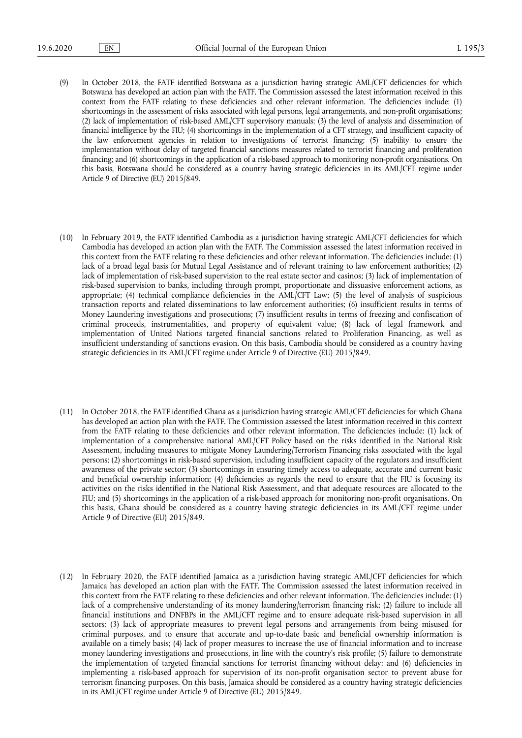- (9) In October 2018, the FATF identified Botswana as a jurisdiction having strategic AML/CFT deficiencies for which Botswana has developed an action plan with the FATF. The Commission assessed the latest information received in this context from the FATF relating to these deficiencies and other relevant information. The deficiencies include: (1) shortcomings in the assessment of risks associated with legal persons, legal arrangements, and non-profit organisations; (2) lack of implementation of risk-based AML/CFT supervisory manuals; (3) the level of analysis and dissemination of financial intelligence by the FIU; (4) shortcomings in the implementation of a CFT strategy, and insufficient capacity of the law enforcement agencies in relation to investigations of terrorist financing; (5) inability to ensure the implementation without delay of targeted financial sanctions measures related to terrorist financing and proliferation financing; and (6) shortcomings in the application of a risk-based approach to monitoring non-profit organisations. On this basis, Botswana should be considered as a country having strategic deficiencies in its AML/CFT regime under Article 9 of Directive (EU) 2015/849.
- (10) In February 2019, the FATF identified Cambodia as a jurisdiction having strategic AML/CFT deficiencies for which Cambodia has developed an action plan with the FATF. The Commission assessed the latest information received in this context from the FATF relating to these deficiencies and other relevant information. The deficiencies include: (1) lack of a broad legal basis for Mutual Legal Assistance and of relevant training to law enforcement authorities; (2) lack of implementation of risk-based supervision to the real estate sector and casinos; (3) lack of implementation of risk-based supervision to banks, including through prompt, proportionate and dissuasive enforcement actions, as appropriate; (4) technical compliance deficiencies in the AML/CFT Law; (5) the level of analysis of suspicious transaction reports and related disseminations to law enforcement authorities; (6) insufficient results in terms of Money Laundering investigations and prosecutions; (7) insufficient results in terms of freezing and confiscation of criminal proceeds, instrumentalities, and property of equivalent value; (8) lack of legal framework and implementation of United Nations targeted financial sanctions related to Proliferation Financing, as well as insufficient understanding of sanctions evasion. On this basis, Cambodia should be considered as a country having strategic deficiencies in its AML/CFT regime under Article 9 of Directive (EU) 2015/849.
- (11) In October 2018, the FATF identified Ghana as a jurisdiction having strategic AML/CFT deficiencies for which Ghana has developed an action plan with the FATF. The Commission assessed the latest information received in this context from the FATF relating to these deficiencies and other relevant information. The deficiencies include: (1) lack of implementation of a comprehensive national AML/CFT Policy based on the risks identified in the National Risk Assessment, including measures to mitigate Money Laundering/Terrorism Financing risks associated with the legal persons; (2) shortcomings in risk-based supervision, including insufficient capacity of the regulators and insufficient awareness of the private sector; (3) shortcomings in ensuring timely access to adequate, accurate and current basic and beneficial ownership information; (4) deficiencies as regards the need to ensure that the FIU is focusing its activities on the risks identified in the National Risk Assessment, and that adequate resources are allocated to the FIU; and (5) shortcomings in the application of a risk-based approach for monitoring non-profit organisations. On this basis, Ghana should be considered as a country having strategic deficiencies in its AML/CFT regime under Article 9 of Directive (EU) 2015/849.
- (12) In February 2020, the FATF identified Jamaica as a jurisdiction having strategic AML/CFT deficiencies for which Jamaica has developed an action plan with the FATF. The Commission assessed the latest information received in this context from the FATF relating to these deficiencies and other relevant information. The deficiencies include: (1) lack of a comprehensive understanding of its money laundering/terrorism financing risk; (2) failure to include all financial institutions and DNFBPs in the AML/CFT regime and to ensure adequate risk-based supervision in all sectors; (3) lack of appropriate measures to prevent legal persons and arrangements from being misused for criminal purposes, and to ensure that accurate and up-to-date basic and beneficial ownership information is available on a timely basis; (4) lack of proper measures to increase the use of financial information and to increase money laundering investigations and prosecutions, in line with the country's risk profile; (5) failure to demonstrate the implementation of targeted financial sanctions for terrorist financing without delay; and (6) deficiencies in implementing a risk-based approach for supervision of its non-profit organisation sector to prevent abuse for terrorism financing purposes. On this basis, Jamaica should be considered as a country having strategic deficiencies in its AML/CFT regime under Article 9 of Directive (EU) 2015/849.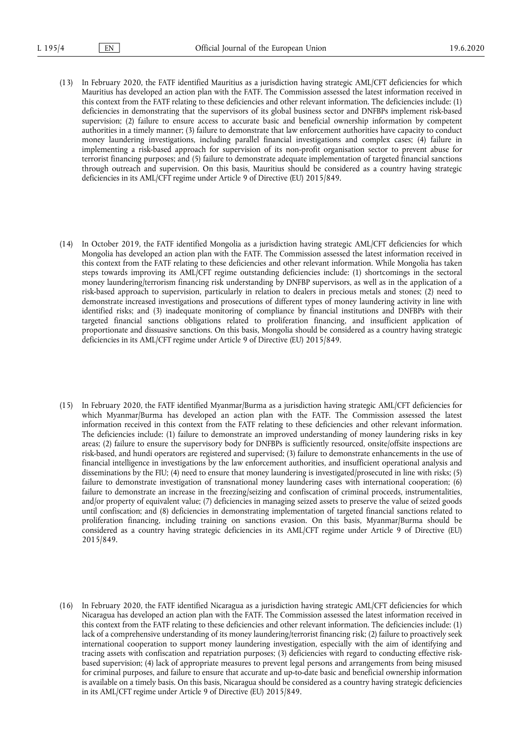- (13) In February 2020, the FATF identified Mauritius as a jurisdiction having strategic AML/CFT deficiencies for which Mauritius has developed an action plan with the FATF. The Commission assessed the latest information received in this context from the FATF relating to these deficiencies and other relevant information. The deficiencies include: (1) deficiencies in demonstrating that the supervisors of its global business sector and DNFBPs implement risk-based supervision; (2) failure to ensure access to accurate basic and beneficial ownership information by competent authorities in a timely manner; (3) failure to demonstrate that law enforcement authorities have capacity to conduct money laundering investigations, including parallel financial investigations and complex cases; (4) failure in implementing a risk-based approach for supervision of its non-profit organisation sector to prevent abuse for terrorist financing purposes; and (5) failure to demonstrate adequate implementation of targeted financial sanctions through outreach and supervision. On this basis, Mauritius should be considered as a country having strategic deficiencies in its AML/CFT regime under Article 9 of Directive (EU) 2015/849.
- (14) In October 2019, the FATF identified Mongolia as a jurisdiction having strategic AML/CFT deficiencies for which Mongolia has developed an action plan with the FATF. The Commission assessed the latest information received in this context from the FATF relating to these deficiencies and other relevant information. While Mongolia has taken steps towards improving its AML/CFT regime outstanding deficiencies include: (1) shortcomings in the sectoral money laundering/terrorism financing risk understanding by DNFBP supervisors, as well as in the application of a risk-based approach to supervision, particularly in relation to dealers in precious metals and stones; (2) need to demonstrate increased investigations and prosecutions of different types of money laundering activity in line with identified risks; and (3) inadequate monitoring of compliance by financial institutions and DNFBPs with their targeted financial sanctions obligations related to proliferation financing, and insufficient application of proportionate and dissuasive sanctions. On this basis, Mongolia should be considered as a country having strategic deficiencies in its AML/CFT regime under Article 9 of Directive (EU) 2015/849.
- (15) In February 2020, the FATF identified Myanmar/Burma as a jurisdiction having strategic AML/CFT deficiencies for which Myanmar/Burma has developed an action plan with the FATF. The Commission assessed the latest information received in this context from the FATF relating to these deficiencies and other relevant information. The deficiencies include: (1) failure to demonstrate an improved understanding of money laundering risks in key areas; (2) failure to ensure the supervisory body for DNFBPs is sufficiently resourced, onsite/offsite inspections are risk-based, and hundi operators are registered and supervised; (3) failure to demonstrate enhancements in the use of financial intelligence in investigations by the law enforcement authorities, and insufficient operational analysis and disseminations by the FIU; (4) need to ensure that money laundering is investigated/prosecuted in line with risks; (5) failure to demonstrate investigation of transnational money laundering cases with international cooperation; (6) failure to demonstrate an increase in the freezing/seizing and confiscation of criminal proceeds, instrumentalities, and/or property of equivalent value; (7) deficiencies in managing seized assets to preserve the value of seized goods until confiscation; and (8) deficiencies in demonstrating implementation of targeted financial sanctions related to proliferation financing, including training on sanctions evasion. On this basis, Myanmar/Burma should be considered as a country having strategic deficiencies in its AML/CFT regime under Article 9 of Directive (EU) 2015/849.
- (16) In February 2020, the FATF identified Nicaragua as a jurisdiction having strategic AML/CFT deficiencies for which Nicaragua has developed an action plan with the FATF. The Commission assessed the latest information received in this context from the FATF relating to these deficiencies and other relevant information. The deficiencies include: (1) lack of a comprehensive understanding of its money laundering/terrorist financing risk; (2) failure to proactively seek international cooperation to support money laundering investigation, especially with the aim of identifying and tracing assets with confiscation and repatriation purposes; (3) deficiencies with regard to conducting effective riskbased supervision; (4) lack of appropriate measures to prevent legal persons and arrangements from being misused for criminal purposes, and failure to ensure that accurate and up-to-date basic and beneficial ownership information is available on a timely basis. On this basis, Nicaragua should be considered as a country having strategic deficiencies in its AML/CFT regime under Article 9 of Directive (EU) 2015/849.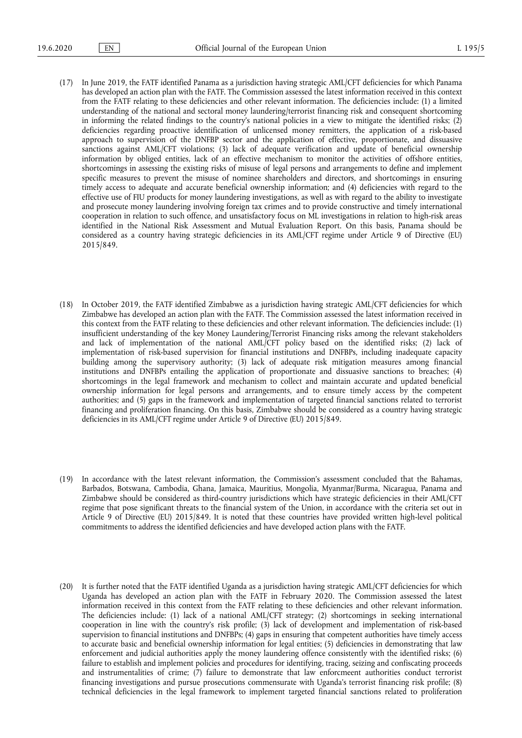- (17) In June 2019, the FATF identified Panama as a jurisdiction having strategic AML/CFT deficiencies for which Panama has developed an action plan with the FATF. The Commission assessed the latest information received in this context from the FATF relating to these deficiencies and other relevant information. The deficiencies include: (1) a limited understanding of the national and sectoral money laundering/terrorist financing risk and consequent shortcoming in informing the related findings to the country's national policies in a view to mitigate the identified risks; (2) deficiencies regarding proactive identification of unlicensed money remitters, the application of a risk-based approach to supervision of the DNFBP sector and the application of effective, proportionate, and dissuasive sanctions against AML/CFT violations; (3) lack of adequate verification and update of beneficial ownership information by obliged entities, lack of an effective mechanism to monitor the activities of offshore entities, shortcomings in assessing the existing risks of misuse of legal persons and arrangements to define and implement specific measures to prevent the misuse of nominee shareholders and directors, and shortcomings in ensuring timely access to adequate and accurate beneficial ownership information; and (4) deficiencies with regard to the effective use of FIU products for money laundering investigations, as well as with regard to the ability to investigate and prosecute money laundering involving foreign tax crimes and to provide constructive and timely international cooperation in relation to such offence, and unsatisfactory focus on ML investigations in relation to high-risk areas identified in the National Risk Assessment and Mutual Evaluation Report. On this basis, Panama should be considered as a country having strategic deficiencies in its AML/CFT regime under Article 9 of Directive (EU) 2015/849.
- (18) In October 2019, the FATF identified Zimbabwe as a jurisdiction having strategic AML/CFT deficiencies for which Zimbabwe has developed an action plan with the FATF. The Commission assessed the latest information received in this context from the FATF relating to these deficiencies and other relevant information. The deficiencies include: (1) insufficient understanding of the key Money Laundering/Terrorist Financing risks among the relevant stakeholders and lack of implementation of the national AML/CFT policy based on the identified risks; (2) lack of implementation of risk-based supervision for financial institutions and DNFBPs, including inadequate capacity building among the supervisory authority; (3) lack of adequate risk mitigation measures among financial institutions and DNFBPs entailing the application of proportionate and dissuasive sanctions to breaches; (4) shortcomings in the legal framework and mechanism to collect and maintain accurate and updated beneficial ownership information for legal persons and arrangements, and to ensure timely access by the competent authorities; and (5) gaps in the framework and implementation of targeted financial sanctions related to terrorist financing and proliferation financing. On this basis, Zimbabwe should be considered as a country having strategic deficiencies in its AML/CFT regime under Article 9 of Directive (EU) 2015/849.
- (19) In accordance with the latest relevant information, the Commission's assessment concluded that the Bahamas, Barbados, Botswana, Cambodia, Ghana, Jamaica, Mauritius, Mongolia, Myanmar/Burma, Nicaragua, Panama and Zimbabwe should be considered as third-country jurisdictions which have strategic deficiencies in their AML/CFT regime that pose significant threats to the financial system of the Union, in accordance with the criteria set out in Article 9 of Directive (EU) 2015/849. It is noted that these countries have provided written high-level political commitments to address the identified deficiencies and have developed action plans with the FATF.
- (20) It is further noted that the FATF identified Uganda as a jurisdiction having strategic AML/CFT deficiencies for which Uganda has developed an action plan with the FATF in February 2020. The Commission assessed the latest information received in this context from the FATF relating to these deficiencies and other relevant information. The deficiencies include: (1) lack of a national AML/CFT strategy; (2) shortcomings in seeking international cooperation in line with the country's risk profile; (3) lack of development and implementation of risk-based supervision to financial institutions and DNFBPs; (4) gaps in ensuring that competent authorities have timely access to accurate basic and beneficial ownership information for legal entities; (5) deficiencies in demonstrating that law enforcement and judicial authorities apply the money laundering offence consistently with the identified risks; (6) failure to establish and implement policies and procedures for identifying, tracing, seizing and confiscating proceeds and instrumentalities of crime; (7) failure to demonstrate that law enforcmeent authorities conduct terrorist financing investigations and pursue prosecutions commensurate with Uganda's terrorist financing risk profile; (8) technical deficiencies in the legal framework to implement targeted financial sanctions related to proliferation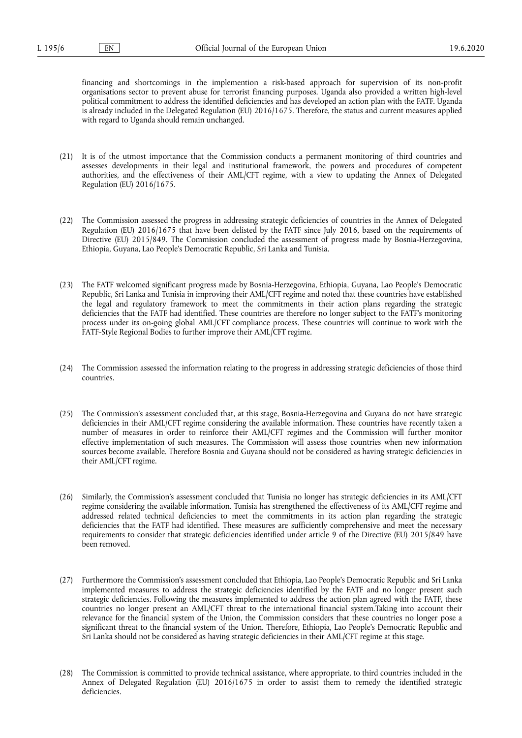financing and shortcomings in the implemention a risk-based approach for supervision of its non-profit organisations sector to prevent abuse for terrorist financing purposes. Uganda also provided a written high-level political commitment to address the identified deficiencies and has developed an action plan with the FATF. Uganda is already included in the Delegated Regulation (EU) 2016/1675. Therefore, the status and current measures applied with regard to Uganda should remain unchanged.

- (21) It is of the utmost importance that the Commission conducts a permanent monitoring of third countries and assesses developments in their legal and institutional framework, the powers and procedures of competent authorities, and the effectiveness of their AML/CFT regime, with a view to updating the Annex of Delegated Regulation (EU) 2016/1675.
- (22) The Commission assessed the progress in addressing strategic deficiencies of countries in the Annex of Delegated Regulation (EU) 2016/1675 that have been delisted by the FATF since July 2016, based on the requirements of Directive (EU) 2015/849. The Commission concluded the assessment of progress made by Bosnia-Herzegovina, Ethiopia, Guyana, Lao People's Democratic Republic, Sri Lanka and Tunisia.
- (23) The FATF welcomed significant progress made by Bosnia-Herzegovina, Ethiopia, Guyana, Lao People's Democratic Republic, Sri Lanka and Tunisia in improving their AML/CFT regime and noted that these countries have established the legal and regulatory framework to meet the commitments in their action plans regarding the strategic deficiencies that the FATF had identified. These countries are therefore no longer subject to the FATF's monitoring process under its on-going global AML/CFT compliance process. These countries will continue to work with the FATF-Style Regional Bodies to further improve their AML/CFT regime.
- (24) The Commission assessed the information relating to the progress in addressing strategic deficiencies of those third countries.
- (25) The Commission's assessment concluded that, at this stage, Bosnia-Herzegovina and Guyana do not have strategic deficiencies in their AML/CFT regime considering the available information. These countries have recently taken a number of measures in order to reinforce their AML/CFT regimes and the Commission will further monitor effective implementation of such measures. The Commission will assess those countries when new information sources become available. Therefore Bosnia and Guyana should not be considered as having strategic deficiencies in their AML/CFT regime.
- (26) Similarly, the Commission's assessment concluded that Tunisia no longer has strategic deficiencies in its AML/CFT regime considering the available information. Tunisia has strengthened the effectiveness of its AML/CFT regime and addressed related technical deficiencies to meet the commitments in its action plan regarding the strategic deficiencies that the FATF had identified. These measures are sufficiently comprehensive and meet the necessary requirements to consider that strategic deficiencies identified under article 9 of the Directive (EU) 2015/849 have been removed.
- (27) Furthermore the Commission's assessment concluded that Ethiopia, Lao People's Democratic Republic and Sri Lanka implemented measures to address the strategic deficiencies identified by the FATF and no longer present such strategic deficiencies. Following the measures implemented to address the action plan agreed with the FATF, these countries no longer present an AML/CFT threat to the international financial system.Taking into account their relevance for the financial system of the Union, the Commission considers that these countries no longer pose a significant threat to the financial system of the Union. Therefore, Ethiopia, Lao People's Democratic Republic and Sri Lanka should not be considered as having strategic deficiencies in their AML/CFT regime at this stage.
- (28) The Commission is committed to provide technical assistance, where appropriate, to third countries included in the Annex of Delegated Regulation (EU) 2016/1675 in order to assist them to remedy the identified strategic deficiencies.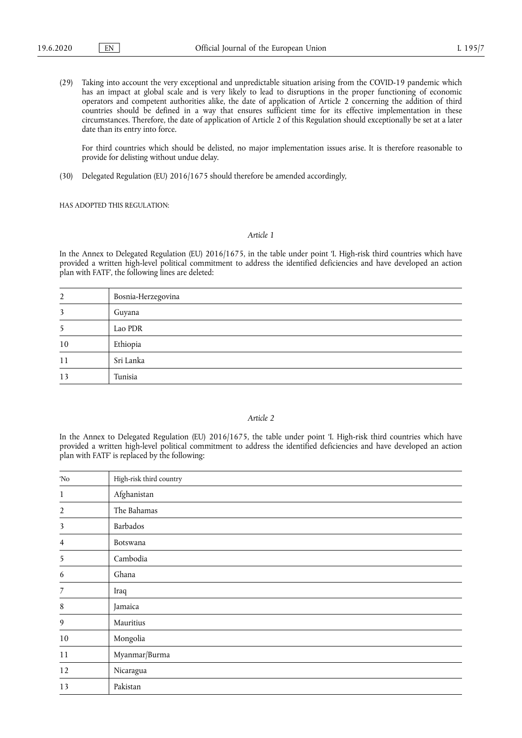(29) Taking into account the very exceptional and unpredictable situation arising from the COVID-19 pandemic which has an impact at global scale and is very likely to lead to disruptions in the proper functioning of economic operators and competent authorities alike, the date of application of Article 2 concerning the addition of third countries should be defined in a way that ensures sufficient time for its effective implementation in these circumstances. Therefore, the date of application of Article 2 of this Regulation should exceptionally be set at a later date than its entry into force.

For third countries which should be delisted, no major implementation issues arise. It is therefore reasonable to provide for delisting without undue delay.

(30) Delegated Regulation (EU) 2016/1675 should therefore be amended accordingly,

HAS ADOPTED THIS REGULATION:

## *Article 1*

In the Annex to Delegated Regulation (EU) 2016/1675, in the table under point 'I. High-risk third countries which have provided a written high-level political commitment to address the identified deficiencies and have developed an action plan with FATF', the following lines are deleted:

| 2  | Bosnia-Herzegovina |
|----|--------------------|
| 3  | Guyana             |
| 5  | Lao PDR            |
| 10 | Ethiopia           |
| 11 | Sri Lanka          |
| 13 | Tunisia            |

# *Article 2*

In the Annex to Delegated Regulation (EU) 2016/1675, the table under point 'I. High-risk third countries which have provided a written high-level political commitment to address the identified deficiencies and have developed an action plan with FATF' is replaced by the following:

| 'No              | High-risk third country |
|------------------|-------------------------|
| $\mathbf{1}$     | Afghanistan             |
| $\overline{2}$   | The Bahamas             |
| 3                | Barbados                |
| 4                | Botswana                |
| 5                | Cambodia                |
| 6                | Ghana                   |
| $\overline{7}$   | Iraq                    |
| $\,$ 8 $\,$      | Jamaica                 |
| $\boldsymbol{9}$ | Mauritius               |
| $10\,$           | Mongolia                |
| 11               | Myanmar/Burma           |
| 12               | Nicaragua               |
| 13               | Pakistan                |